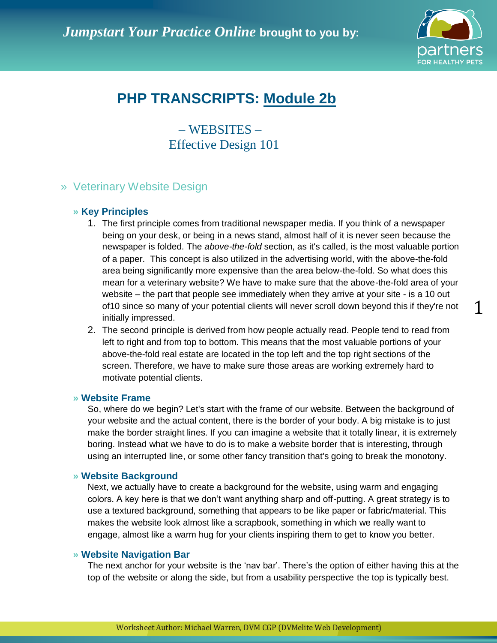

# **PHP TRANSCRIPTS: Module 2b**

– WEBSITES – Effective Design 101

# » Veterinary Website Design

## **» Key Principles**

- 1. The first principle comes from traditional newspaper media. If you think of a newspaper being on your desk, or being in a news stand, almost half of it is never seen because the newspaper is folded. The *above-the-fold* section, as it's called, is the most valuable portion of a paper. This concept is also utilized in the advertising world, with the above-the-fold area being significantly more expensive than the area below-the-fold. So what does this mean for a veterinary website? We have to make sure that the above-the-fold area of your website – the part that people see immediately when they arrive at your site - is a 10 out of10 since so many of your potential clients will never scroll down beyond this if they're not initially impressed.
- 2. The second principle is derived from how people actually read. People tend to read from left to right and from top to bottom. This means that the most valuable portions of your above-the-fold real estate are located in the top left and the top right sections of the screen. Therefore, we have to make sure those areas are working extremely hard to motivate potential clients.

## **» Website Frame**

So, where do we begin? Let's start with the frame of our website. Between the background of your website and the actual content, there is the border of your body. A big mistake is to just make the border straight lines. If you can imagine a website that it totally linear, it is extremely boring. Instead what we have to do is to make a website border that is interesting, through using an interrupted line, or some other fancy transition that's going to break the monotony.

## **» Website Background**

Next, we actually have to create a background for the website, using warm and engaging colors. A key here is that we don"t want anything sharp and off-putting. A great strategy is to use a textured background, something that appears to be like paper or fabric/material. This makes the website look almost like a scrapbook, something in which we really want to engage, almost like a warm hug for your clients inspiring them to get to know you better.

### **» Website Navigation Bar**

The next anchor for your website is the "nav bar". There"s the option of either having this at the top of the website or along the side, but from a usability perspective the top is typically best.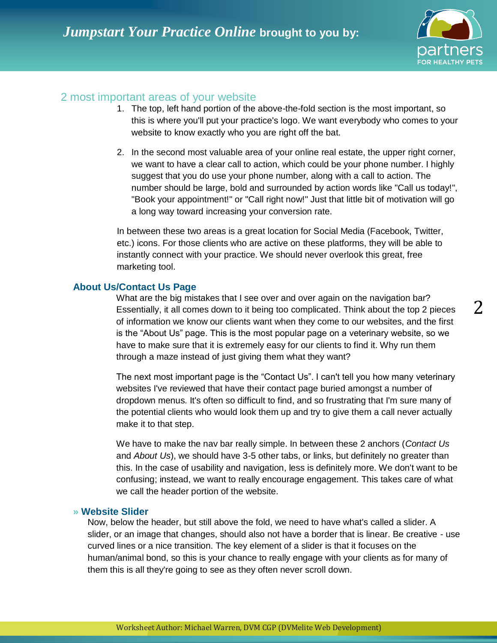

# 2 most important areas of your website

- 1. The top, left hand portion of the above-the-fold section is the most important, so this is where you'll put your practice's logo. We want everybody who comes to your website to know exactly who you are right off the bat.
- 2. In the second most valuable area of your online real estate, the upper right corner, we want to have a clear call to action, which could be your phone number. I highly suggest that you do use your phone number, along with a call to action. The number should be large, bold and surrounded by action words like "Call us today!", "Book your appointment!" or "Call right now!" Just that little bit of motivation will go a long way toward increasing your conversion rate.

In between these two areas is a great location for Social Media (Facebook, Twitter, etc.) icons. For those clients who are active on these platforms, they will be able to instantly connect with your practice. We should never overlook this great, free marketing tool.

## **About Us/Contact Us Page**

What are the big mistakes that I see over and over again on the navigation bar? Essentially, it all comes down to it being too complicated. Think about the top 2 pieces of information we know our clients want when they come to our websites, and the first is the "About Us" page. This is the most popular page on a veterinary website, so we have to make sure that it is extremely easy for our clients to find it. Why run them through a maze instead of just giving them what they want?

The next most important page is the "Contact Us". I can't tell you how many veterinary websites I've reviewed that have their contact page buried amongst a number of dropdown menus. It's often so difficult to find, and so frustrating that I'm sure many of the potential clients who would look them up and try to give them a call never actually make it to that step.

We have to make the nav bar really simple. In between these 2 anchors (*Contact Us* and *About Us*), we should have 3-5 other tabs, or links, but definitely no greater than this. In the case of usability and navigation, less is definitely more. We don't want to be confusing; instead, we want to really encourage engagement. This takes care of what we call the header portion of the website.

## **» Website Slider**

Now, below the header, but still above the fold, we need to have what's called a slider. A slider, or an image that changes, should also not have a border that is linear. Be creative - use curved lines or a nice transition. The key element of a slider is that it focuses on the human/animal bond, so this is your chance to really engage with your clients as for many of them this is all they're going to see as they often never scroll down.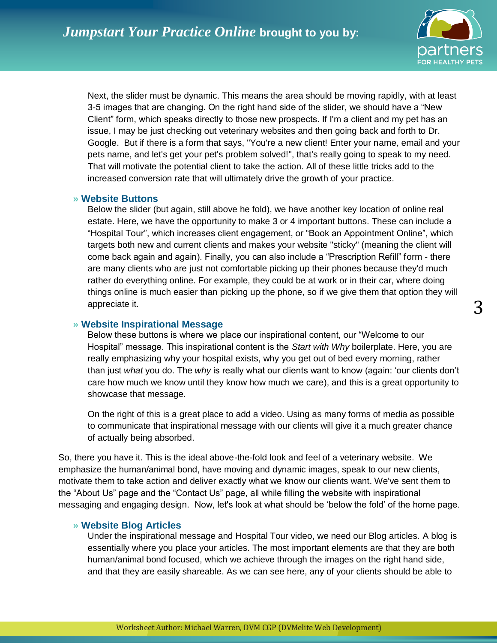

Next, the slider must be dynamic. This means the area should be moving rapidly, with at least 3-5 images that are changing. On the right hand side of the slider, we should have a "New Client" form, which speaks directly to those new prospects. If I'm a client and my pet has an issue, I may be just checking out veterinary websites and then going back and forth to Dr. Google. But if there is a form that says, "You're a new client! Enter your name, email and your pets name, and let's get your pet's problem solved!", that's really going to speak to my need. That will motivate the potential client to take the action. All of these little tricks add to the increased conversion rate that will ultimately drive the growth of your practice.

#### **» Website Buttons**

Below the slider (but again, still above he fold), we have another key location of online real estate. Here, we have the opportunity to make 3 or 4 important buttons. These can include a "Hospital Tour", which increases client engagement, or "Book an Appointment Online", which targets both new and current clients and makes your website "sticky" (meaning the client will come back again and again). Finally, you can also include a "Prescription Refill" form - there are many clients who are just not comfortable picking up their phones because they'd much rather do everything online. For example, they could be at work or in their car, where doing things online is much easier than picking up the phone, so if we give them that option they will appreciate it.

## **» Website Inspirational Message**

Below these buttons is where we place our inspirational content, our "Welcome to our Hospital" message. This inspirational content is the *Start with Why* boilerplate. Here, you are really emphasizing why your hospital exists, why you get out of bed every morning, rather than just *what* you do. The *why* is really what our clients want to know (again: "our clients don"t care how much we know until they know how much we care), and this is a great opportunity to showcase that message.

On the right of this is a great place to add a video. Using as many forms of media as possible to communicate that inspirational message with our clients will give it a much greater chance of actually being absorbed.

So, there you have it. This is the ideal above-the-fold look and feel of a veterinary website. We emphasize the human/animal bond, have moving and dynamic images, speak to our new clients, motivate them to take action and deliver exactly what we know our clients want. We've sent them to the "About Us" page and the "Contact Us" page, all while filling the website with inspirational messaging and engaging design. Now, let's look at what should be "below the fold" of the home page.

## **» Website Blog Articles**

Under the inspirational message and Hospital Tour video, we need our Blog articles. A blog is essentially where you place your articles. The most important elements are that they are both human/animal bond focused, which we achieve through the images on the right hand side, and that they are easily shareable. As we can see here, any of your clients should be able to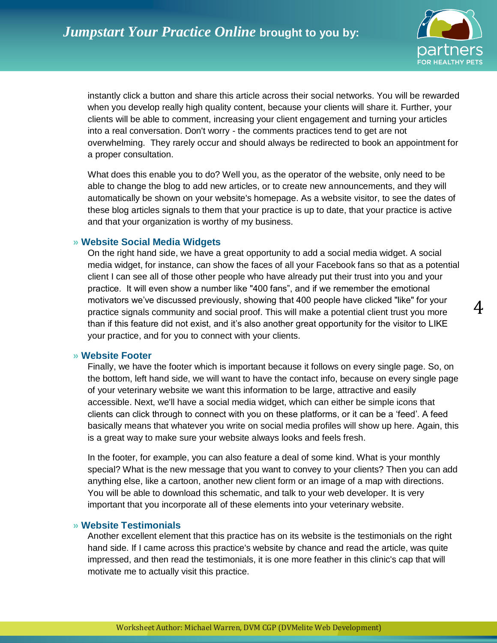

instantly click a button and share this article across their social networks. You will be rewarded when you develop really high quality content, because your clients will share it. Further, your clients will be able to comment, increasing your client engagement and turning your articles into a real conversation. Don't worry - the comments practices tend to get are not overwhelming. They rarely occur and should always be redirected to book an appointment for a proper consultation.

What does this enable you to do? Well you, as the operator of the website, only need to be able to change the blog to add new articles, or to create new announcements, and they will automatically be shown on your website's homepage. As a website visitor, to see the dates of these blog articles signals to them that your practice is up to date, that your practice is active and that your organization is worthy of my business.

#### **» Website Social Media Widgets**

On the right hand side, we have a great opportunity to add a social media widget. A social media widget, for instance, can show the faces of all your Facebook fans so that as a potential client I can see all of those other people who have already put their trust into you and your practice. It will even show a number like "400 fans", and if we remember the emotional motivators we"ve discussed previously, showing that 400 people have clicked "like" for your practice signals community and social proof. This will make a potential client trust you more than if this feature did not exist, and it's also another great opportunity for the visitor to LIKE your practice, and for you to connect with your clients.

#### **» Website Footer**

Finally, we have the footer which is important because it follows on every single page. So, on the bottom, left hand side, we will want to have the contact info, because on every single page of your veterinary website we want this information to be large, attractive and easily accessible. Next, we'll have a social media widget, which can either be simple icons that clients can click through to connect with you on these platforms, or it can be a "feed". A feed basically means that whatever you write on social media profiles will show up here. Again, this is a great way to make sure your website always looks and feels fresh.

In the footer, for example, you can also feature a deal of some kind. What is your monthly special? What is the new message that you want to convey to your clients? Then you can add anything else, like a cartoon, another new client form or an image of a map with directions. You will be able to download this schematic, and talk to your web developer. It is very important that you incorporate all of these elements into your veterinary website.

#### **» Website Testimonials**

Another excellent element that this practice has on its website is the testimonials on the right hand side. If I came across this practice's website by chance and read the article, was quite impressed, and then read the testimonials, it is one more feather in this clinic's cap that will motivate me to actually visit this practice.